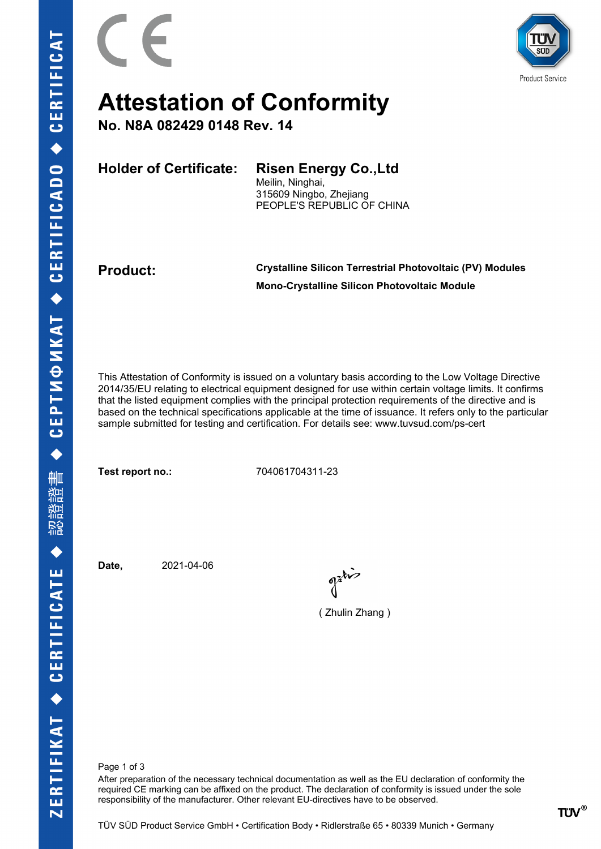

## **Attestation of Conformity**

**No. N8A 082429 0148 Rev. 14**

**Holder of Certificate: Risen Energy Co.,Ltd**

Meilin, Ninghai, 315609 Ningbo, Zhejiang PEOPLE'S REPUBLIC OF CHINA

**Product: Crystalline Silicon Terrestrial Photovoltaic (PV) Modules Mono-Crystalline Silicon Photovoltaic Module**

This Attestation of Conformity is issued on a voluntary basis according to the Low Voltage Directive 2014/35/EU relating to electrical equipment designed for use within certain voltage limits. It confirms that the listed equipment complies with the principal protection requirements of the directive and is based on the technical specifications applicable at the time of issuance. It refers only to the particular sample submitted for testing and certification. For details see: www.tuvsud.com/ps-cert

**Test report no.:** 704061704311-23

**Date,** 2021-04-06

of this

( Zhulin Zhang )

Page 1 of 3

After preparation of the necessary technical documentation as well as the EU declaration of conformity the required CE marking can be affixed on the product. The declaration of conformity is issued under the sole responsibility of the manufacturer. Other relevant EU-directives have to be observed.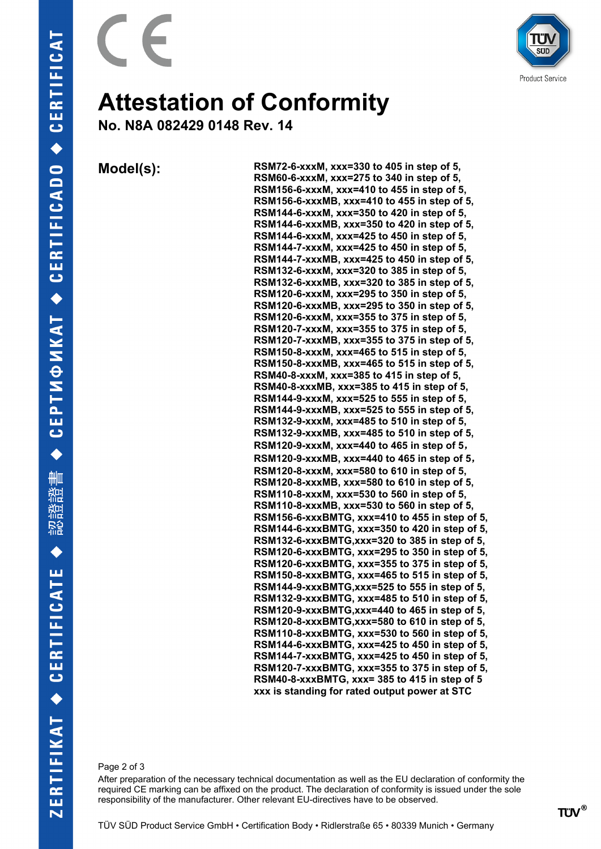



## **Attestation of Conformity**

**No. N8A 082429 0148 Rev. 14**

**Model(s): RSM72-6-xxxM, xxx=330 to 405 in step of 5, RSM60-6-xxxM, xxx=275 to 340 in step of 5, RSM156-6-xxxM, xxx=410 to 455 in step of 5, RSM156-6-xxxMB, xxx=410 to 455 in step of 5, RSM144-6-xxxM, xxx=350 to 420 in step of 5, RSM144-6-xxxMB, xxx=350 to 420 in step of 5, RSM144-6-xxxM, xxx=425 to 450 in step of 5, RSM144-7-xxxM, xxx=425 to 450 in step of 5, RSM144-7-xxxMB, xxx=425 to 450 in step of 5, RSM132-6-xxxM, xxx=320 to 385 in step of 5, RSM132-6-xxxMB, xxx=320 to 385 in step of 5, RSM120-6-xxxM, xxx=295 to 350 in step of 5, RSM120-6-xxxMB, xxx=295 to 350 in step of 5, RSM120-6-xxxM, xxx=355 to 375 in step of 5, RSM120-7-xxxM, xxx=355 to 375 in step of 5, RSM120-7-xxxMB, xxx=355 to 375 in step of 5, RSM150-8-xxxM, xxx=465 to 515 in step of 5, RSM150-8-xxxMB, xxx=465 to 515 in step of 5, RSM40-8-xxxM, xxx=385 to 415 in step of 5, RSM40-8-xxxMB, xxx=385 to 415 in step of 5, RSM144-9-xxxM, xxx=525 to 555 in step of 5, RSM144-9-xxxMB, xxx=525 to 555 in step of 5, RSM132-9-xxxM, xxx=485 to 510 in step of 5, RSM132-9-xxxMB, xxx=485 to 510 in step of 5, RSM120-9-xxxM, xxx=440 to 465 in step of 5, RSM120-9-xxxMB, xxx=440 to 465 in step of 5, RSM120-8-xxxM, xxx=580 to 610 in step of 5, RSM120-8-xxxMB, xxx=580 to 610 in step of 5, RSM110-8-xxxM, xxx=530 to 560 in step of 5, RSM110-8-xxxMB, xxx=530 to 560 in step of 5, RSM156-6-xxxBMTG, xxx=410 to 455 in step of 5, RSM144-6-xxxBMTG, xxx=350 to 420 in step of 5, RSM132-6-xxxBMTG,xxx=320 to 385 in step of 5, RSM120-6-xxxBMTG, xxx=295 to 350 in step of 5, RSM120-6-xxxBMTG, xxx=355 to 375 in step of 5, RSM150-8-xxxBMTG, xxx=465 to 515 in step of 5, RSM144-9-xxxBMTG,xxx=525 to 555 in step of 5, RSM132-9-xxxBMTG, xxx=485 to 510 in step of 5, RSM120-9-xxxBMTG,xxx=440 to 465 in step of 5, RSM120-8-xxxBMTG,xxx=580 to 610 in step of 5, RSM110-8-xxxBMTG, xxx=530 to 560 in step of 5, RSM144-6-xxxBMTG, xxx=425 to 450 in step of 5, RSM144-7-xxxBMTG, xxx=425 to 450 in step of 5, RSM120-7-xxxBMTG, xxx=355 to 375 in step of 5, RSM40-8-xxxBMTG, xxx= 385 to 415 in step of 5 xxx is standing for rated output power at STC**

Page 2 of 3

After preparation of the necessary technical documentation as well as the EU declaration of conformity the required CE marking can be affixed on the product. The declaration of conformity is issued under the sole responsibility of the manufacturer. Other relevant EU-directives have to be observed.